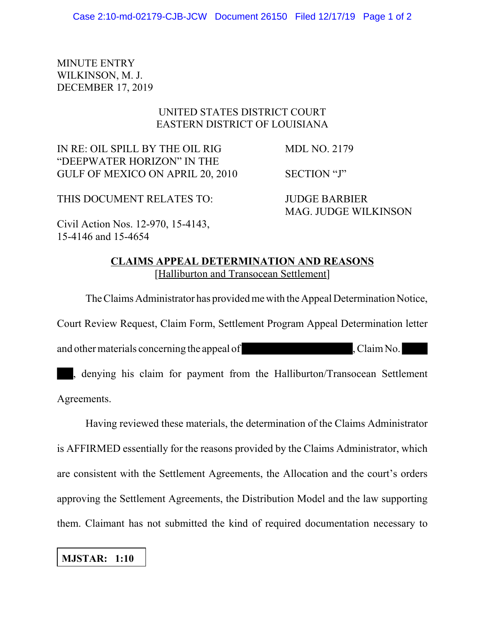## MINUTE ENTRY WILKINSON, M. J. DECEMBER 17, 2019

## UNITED STATES DISTRICT COURT EASTERN DISTRICT OF LOUISIANA

IN RE: OIL SPILL BY THE OIL RIG MDL NO. 2179 "DEEPWATER HORIZON" IN THE GULF OF MEXICO ON APRIL 20, 2010 SECTION "J"

THIS DOCUMENT RELATES TO: JUDGE BARBIER

MAG. JUDGE WILKINSON

Civil Action Nos. 12-970, 15-4143, 15-4146 and 15-4654

> **CLAIMS APPEAL DETERMINATION AND REASONS** [Halliburton and Transocean Settlement]

The Claims Administrator has provided me with the Appeal Determination Notice, Court Review Request, Claim Form, Settlement Program Appeal Determination letter and other materials concerning the appeal of , Claim No. , denying his claim for payment from the Halliburton/Transocean Settlement

Agreements.

Having reviewed these materials, the determination of the Claims Administrator is AFFIRMED essentially for the reasons provided by the Claims Administrator, which are consistent with the Settlement Agreements, the Allocation and the court's orders approving the Settlement Agreements, the Distribution Model and the law supporting them. Claimant has not submitted the kind of required documentation necessary to

## **MJSTAR: 1:10**